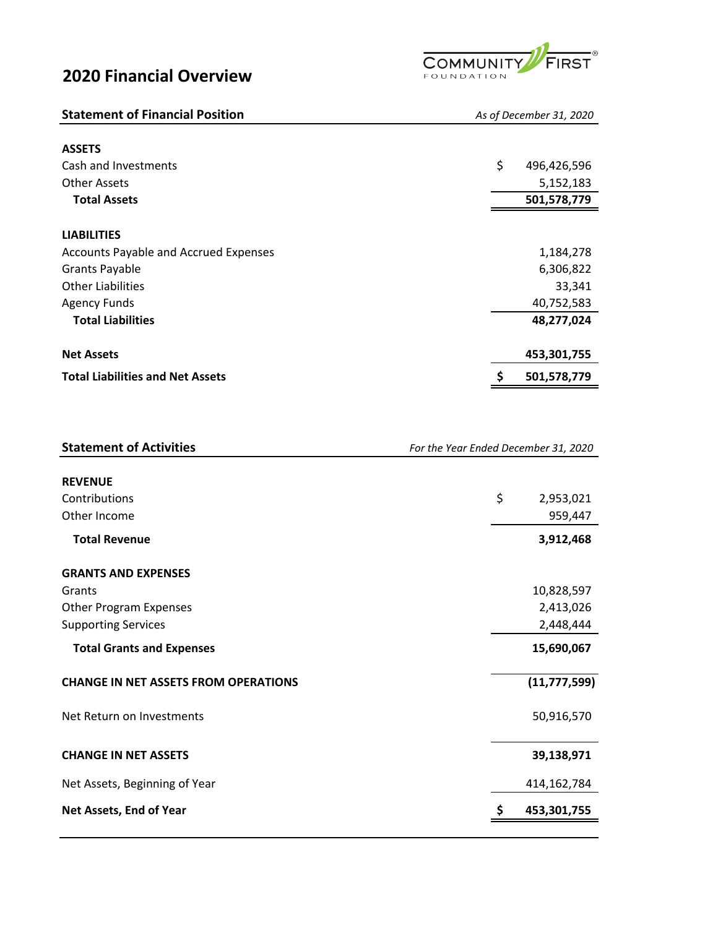## **2020 Financial Overview**



| <b>Statement of Financial Position</b>       | As of December 31, 2020 |  |  |  |
|----------------------------------------------|-------------------------|--|--|--|
| <b>ASSETS</b>                                |                         |  |  |  |
| Cash and Investments                         | \$<br>496,426,596       |  |  |  |
| <b>Other Assets</b>                          | 5,152,183               |  |  |  |
| <b>Total Assets</b>                          | 501,578,779             |  |  |  |
| <b>LIABILITIES</b>                           |                         |  |  |  |
| <b>Accounts Payable and Accrued Expenses</b> | 1,184,278               |  |  |  |
| <b>Grants Payable</b>                        | 6,306,822               |  |  |  |
| <b>Other Liabilities</b>                     | 33,341                  |  |  |  |
| <b>Agency Funds</b>                          | 40,752,583              |  |  |  |
| <b>Total Liabilities</b>                     | 48,277,024              |  |  |  |
| <b>Net Assets</b>                            | 453,301,755             |  |  |  |
| <b>Total Liabilities and Net Assets</b>      | 501,578,779<br>S        |  |  |  |

| <b>Statement of Activities</b> | For the Year Ended December 31, 2020 |
|--------------------------------|--------------------------------------|
|                                |                                      |

| <b>REVENUE</b>                              |                 |
|---------------------------------------------|-----------------|
| Contributions                               | \$<br>2,953,021 |
| Other Income                                | 959,447         |
| <b>Total Revenue</b>                        | 3,912,468       |
| <b>GRANTS AND EXPENSES</b>                  |                 |
| Grants                                      | 10,828,597      |
| <b>Other Program Expenses</b>               | 2,413,026       |
| <b>Supporting Services</b>                  | 2,448,444       |
| <b>Total Grants and Expenses</b>            | 15,690,067      |
| <b>CHANGE IN NET ASSETS FROM OPERATIONS</b> | (11, 777, 599)  |
| Net Return on Investments                   | 50,916,570      |
| <b>CHANGE IN NET ASSETS</b>                 | 39,138,971      |
| Net Assets, Beginning of Year               | 414,162,784     |
| Net Assets, End of Year                     | 453,301,755     |
|                                             |                 |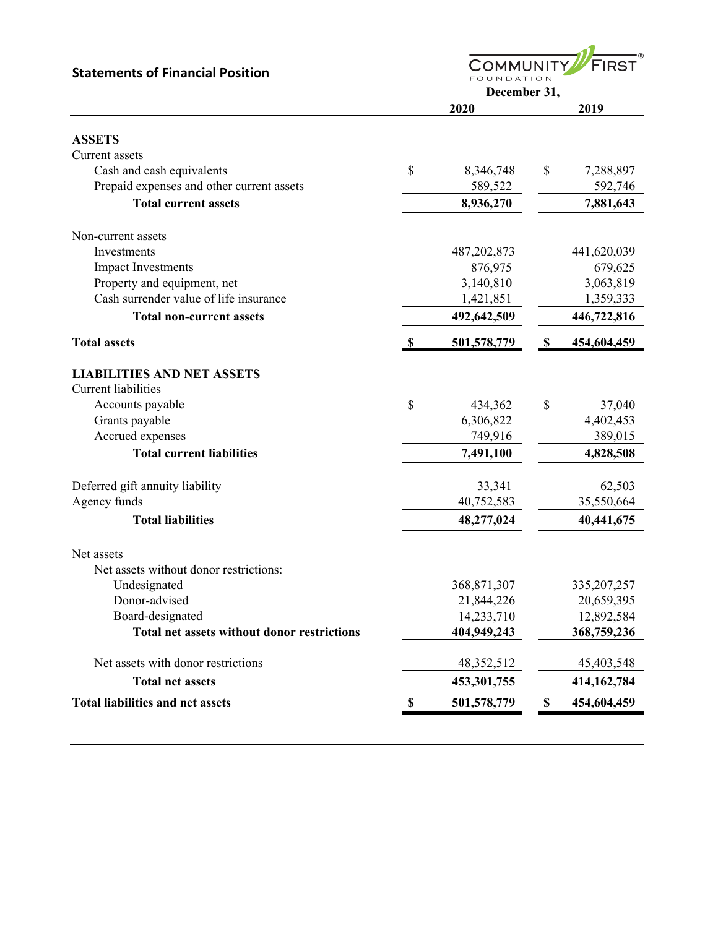**FIRST COMMUNITY Statements of Financial Position** FOUNDATION **December 31, 2020 2019 ASSETS** Current assets Cash and cash equivalents  $\begin{array}{cccc} 8 & 8,346,748 & 8 & 7,288,897 \end{array}$ Prepaid expenses and other current assets 589,522 592,746 **Total current assets 8,936,270 7,881,643**  Non‑current assets Investments 487,202,873 441,620,039 Impact Investments 876,975 679,625 Property and equipment, net 3,140,810 3,063,819 Cash surrender value of life insurance 1,421,851 1,359,333 **Total non‑current assets 492,642,509 446,722,816 Total assets 6 501,578,779 6 501,578,779 6 454,604,459 LIABILITIES AND NET ASSETS** Current liabilities Accounts payable  $\qquad \qquad$  \$ 434,362 \$ 37,040 Grants payable 6,306,822 4,402,453 Accrued expenses 749,916 389,015 **Total current liabilities 7,491,100 4,828,508**  Deferred gift annuity liability 33,341 62,503 Agency funds 35,550,664 **Total liabilities 48,277,024** 40,441,675 Net assets Net assets without donor restrictions: Undesignated 368,871,307 335,207,257 Donor-advised 21,844,226 20,659,395 Board‐designated 14,233,710 12,892,584 **Total net assets without donor restrictions 404,949,243 368,759,236**  Net assets with donor restrictions 48,352,512 45,403,548 **Total net assets 453,301,755 414,162,784 Total liabilities and net assets \$ 501,578,779 \$ 454,604,459**